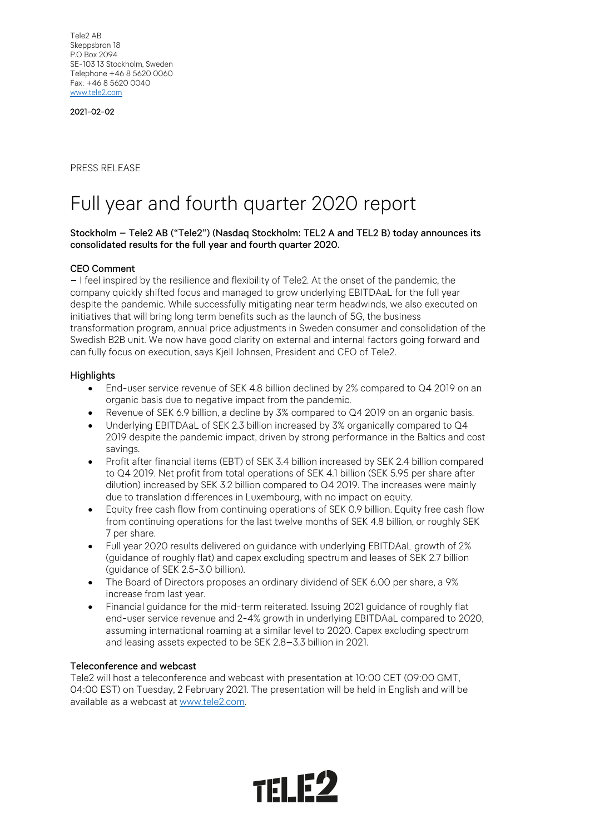Tele2 AB Skeppsbron 18 P.O Box 2094 SE-103 13 Stockholm, Sweden Telephone +46 8 5620 0060 Fax: +46 8 5620 0040 [www.tele2.com](http://www.tele2.com/)

2021-02-02

PRESS RELEASE

# Full year and fourth quarter 2020 report

## Stockholm – Tele2 AB ("Tele2") (Nasdaq Stockholm: TEL2 A and TEL2 B) today announces its consolidated results for the full year and fourth quarter 2020.

### CEO Comment

– I feel inspired by the resilience and flexibility of Tele2. At the onset of the pandemic, the company quickly shifted focus and managed to grow underlying EBITDAaL for the full year despite the pandemic. While successfully mitigating near term headwinds, we also executed on initiatives that will bring long term benefits such as the launch of 5G, the business transformation program, annual price adjustments in Sweden consumer and consolidation of the Swedish B2B unit. We now have good clarity on external and internal factors going forward and can fully focus on execution, says Kjell Johnsen, President and CEO of Tele2.

#### **Highlights**

- End-user service revenue of SEK 4.8 billion declined by 2% compared to Q4 2019 on an organic basis due to negative impact from the pandemic.
- Revenue of SEK 6.9 billion, a decline by 3% compared to Q4 2019 on an organic basis.
- Underlying EBITDAaL of SEK 2.3 billion increased by 3% organically compared to Q4 2019 despite the pandemic impact, driven by strong performance in the Baltics and cost savings.
- Profit after financial items (EBT) of SEK 3.4 billion increased by SEK 2.4 billion compared to Q4 2019. Net profit from total operations of SEK 4.1 billion (SEK 5.95 per share after dilution) increased by SEK 3.2 billion compared to Q4 2019. The increases were mainly due to translation differences in Luxembourg, with no impact on equity.
- Equity free cash flow from continuing operations of SEK 0.9 billion. Equity free cash flow from continuing operations for the last twelve months of SEK 4.8 billion, or roughly SEK 7 per share.
- Full year 2020 results delivered on guidance with underlying EBITDAaL growth of 2% (guidance of roughly flat) and capex excluding spectrum and leases of SEK 2.7 billion (guidance of SEK 2.5-3.0 billion).
- The Board of Directors proposes an ordinary dividend of SEK 6.00 per share, a 9% increase from last year.
- Financial guidance for the mid-term reiterated. Issuing 2021 guidance of roughly flat end-user service revenue and 2-4% growth in underlying EBITDAaL compared to 2020, assuming international roaming at a similar level to 2020. Capex excluding spectrum and leasing assets expected to be SEK 2.8–3.3 billion in 2021.

#### Teleconference and webcast

Tele2 will host a teleconference and webcast with presentation at 10:00 CET (09:00 GMT, 04:00 EST) on Tuesday, 2 February 2021. The presentation will be held in English and will be available as a webcast at [www.tele2.com.](http://www.tele2.com/)